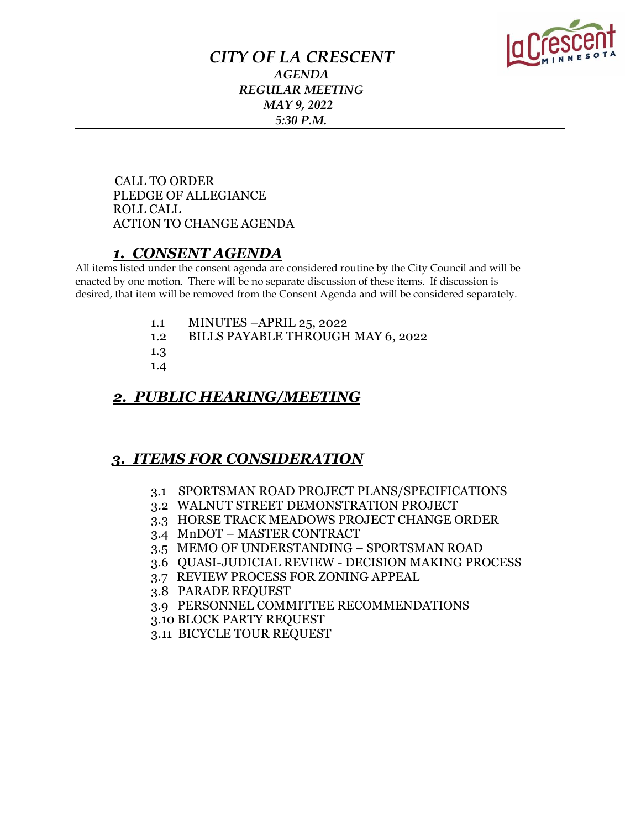

### *CITY OF LA CRESCENT AGENDA REGULAR MEETING MAY 9, 2022 5:30 P.M.*

 CALL TO ORDER PLEDGE OF ALLEGIANCE ROLL CALL ACTION TO CHANGE AGENDA

### *1. CONSENT AGENDA*

All items listed under the consent agenda are considered routine by the City Council and will be enacted by one motion. There will be no separate discussion of these items. If discussion is desired, that item will be removed from the Consent Agenda and will be considered separately.

- 1.1 MINUTES –APRIL 25, 2022
- 1.2 BILLS PAYABLE THROUGH MAY 6, 2022
- 1.3
- 1.4

### *2. PUBLIC HEARING/MEETING*

## *3. ITEMS FOR CONSIDERATION*

- 3.1 SPORTSMAN ROAD PROJECT PLANS/SPECIFICATIONS
- 3.2 WALNUT STREET DEMONSTRATION PROJECT
- 3.3 HORSE TRACK MEADOWS PROJECT CHANGE ORDER
- 3.4 MnDOT MASTER CONTRACT
- 3.5 MEMO OF UNDERSTANDING SPORTSMAN ROAD
- 3.6 QUASI-JUDICIAL REVIEW DECISION MAKING PROCESS
- 3.7 REVIEW PROCESS FOR ZONING APPEAL
- 3.8 PARADE REQUEST
- 3.9 PERSONNEL COMMITTEE RECOMMENDATIONS
- 3.10 BLOCK PARTY REQUEST
- 3.11 BICYCLE TOUR REQUEST